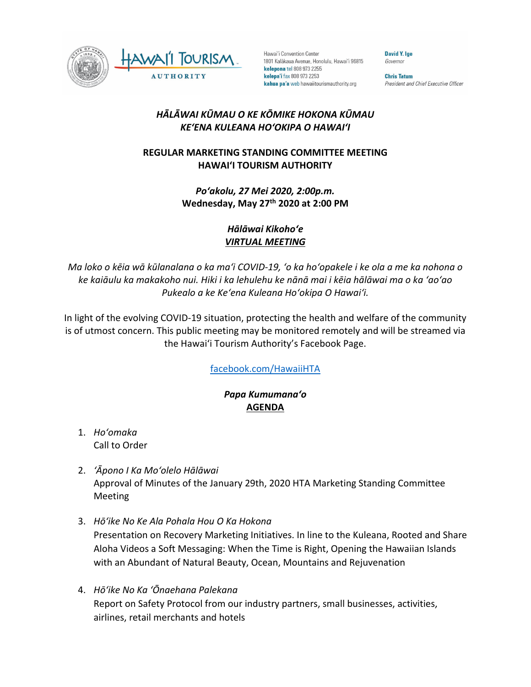

Hawai'i Convention Center 1801 Kalākaua Avenue, Honolulu, Hawai'i 96815 kelepona tel 808 973 2255 kelepa'i fax 808 973 2253 kahua pa'a web hawaiitourismauthority.org

**David Y. Ige** Governor

**Chris Tatum** President and Chief Executive Officer

## *HĀLĀWAI KŪMAU O KE KŌMIKE HOKONA KŪMAU KEʻENA KULEANA HOʻOKIPA O HAWAIʻI*

## **REGULAR MARKETING STANDING COMMITTEE MEETING HAWAI'I TOURISM AUTHORITY**

*Poʻakolu, 27 Mei 2020, 2:00p.m.* **Wednesday, May 27th 2020 at 2:00 PM**

> *Hālāwai Kikohoʻe VIRTUAL MEETING*

*Ma loko o kēia wā kūlanalana o ka maʻi COVID-19, ʻo ka hoʻopakele i ke ola a me ka nohona o ke kaiāulu ka makakoho nui. Hiki i ka lehulehu ke nānā mai i kēia hālāwai ma o ka ʻaoʻao Pukealo a ke Keʻena Kuleana Hoʻokipa O Hawaiʻi.*

In light of the evolving COVID-19 situation, protecting the health and welfare of the community is of utmost concern. This public meeting may be monitored remotely and will be streamed via the Hawaiʻi Tourism Authority's Facebook Page.

[facebook.com/HawaiiHTA](https://www.facebook.com/HawaiiHTA)

## *Papa Kumumanaʻo* **AGENDA**

- 1. *Hoʻomaka*  Call to Order
- 2. *ʻĀpono I Ka Moʻolelo Hālāwai* Approval of Minutes of the January 29th, 2020 HTA Marketing Standing Committee Meeting
- 3. *Hōʻike No Ke Ala Pohala Hou O Ka Hokona*

Presentation on Recovery Marketing Initiatives. In line to the Kuleana, Rooted and Share Aloha Videos a Soft Messaging: When the Time is Right, Opening the Hawaiian Islands with an Abundant of Natural Beauty, Ocean, Mountains and Rejuvenation

4. *Hōʻike No Ka ʻŌnaehana Palekana* Report on Safety Protocol from our industry partners, small businesses, activities, airlines, retail merchants and hotels